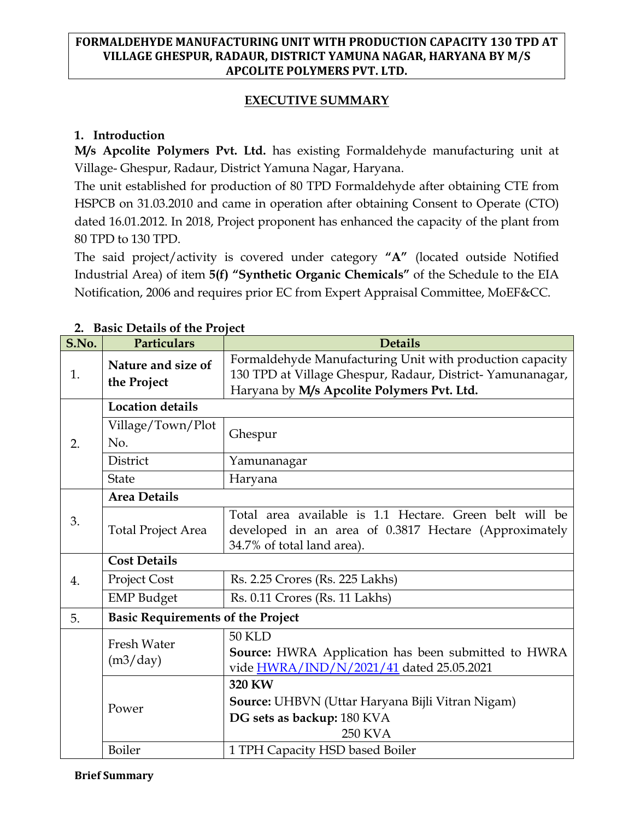### **EXECUTIVE SUMMARY**

### **1. Introduction**

**M/s Apcolite Polymers Pvt. Ltd.** has existing Formaldehyde manufacturing unit at Village- Ghespur, Radaur, District Yamuna Nagar, Haryana.

The unit established for production of 80 TPD Formaldehyde after obtaining CTE from HSPCB on 31.03.2010 and came in operation after obtaining Consent to Operate (CTO) dated 16.01.2012. In 2018, Project proponent has enhanced the capacity of the plant from 80 TPD to 130 TPD.

The said project/activity is covered under category **"A"** (located outside Notified Industrial Area) of item **5(f) "Synthetic Organic Chemicals"** of the Schedule to the EIA Notification, 2006 and requires prior EC from Expert Appraisal Committee, MoEF&CC.

|       | <b>DASIL DETAILS UL LITE L'IVIELL</b>    |                                                                                                                                                                     |  |  |
|-------|------------------------------------------|---------------------------------------------------------------------------------------------------------------------------------------------------------------------|--|--|
| S.No. | Particulars                              | <b>Details</b>                                                                                                                                                      |  |  |
| 1.    | Nature and size of<br>the Project        | Formaldehyde Manufacturing Unit with production capacity<br>130 TPD at Village Ghespur, Radaur, District-Yamunanagar,<br>Haryana by M/s Apcolite Polymers Pvt. Ltd. |  |  |
|       | <b>Location details</b>                  |                                                                                                                                                                     |  |  |
| 2.    | Village/Town/Plot<br>No.                 | Ghespur                                                                                                                                                             |  |  |
|       | District                                 | Yamunanagar                                                                                                                                                         |  |  |
|       | <b>State</b>                             | Haryana                                                                                                                                                             |  |  |
| 3.    | <b>Area Details</b>                      |                                                                                                                                                                     |  |  |
|       | <b>Total Project Area</b>                | Total area available is 1.1 Hectare. Green belt will be<br>developed in an area of 0.3817 Hectare (Approximately<br>34.7% of total land area).                      |  |  |
|       | <b>Cost Details</b>                      |                                                                                                                                                                     |  |  |
| 4.    | Project Cost                             | Rs. 2.25 Crores (Rs. 225 Lakhs)                                                                                                                                     |  |  |
|       | <b>EMP</b> Budget                        | Rs. 0.11 Crores (Rs. 11 Lakhs)                                                                                                                                      |  |  |
| 5.    | <b>Basic Requirements of the Project</b> |                                                                                                                                                                     |  |  |
|       | <b>Fresh Water</b><br>(m3/day)           | <b>50 KLD</b><br>Source: HWRA Application has been submitted to HWRA<br>vide HWRA/IND/N/2021/41 dated 25.05.2021                                                    |  |  |
|       | Power                                    | 320 KW                                                                                                                                                              |  |  |
|       |                                          | Source: UHBVN (Uttar Haryana Bijli Vitran Nigam)                                                                                                                    |  |  |
|       |                                          | DG sets as backup: 180 KVA                                                                                                                                          |  |  |
|       |                                          | <b>250 KVA</b>                                                                                                                                                      |  |  |
|       | Boiler                                   | 1 TPH Capacity HSD based Boiler                                                                                                                                     |  |  |

### **2. Basic Details of the Project**

#### **Brief Summary**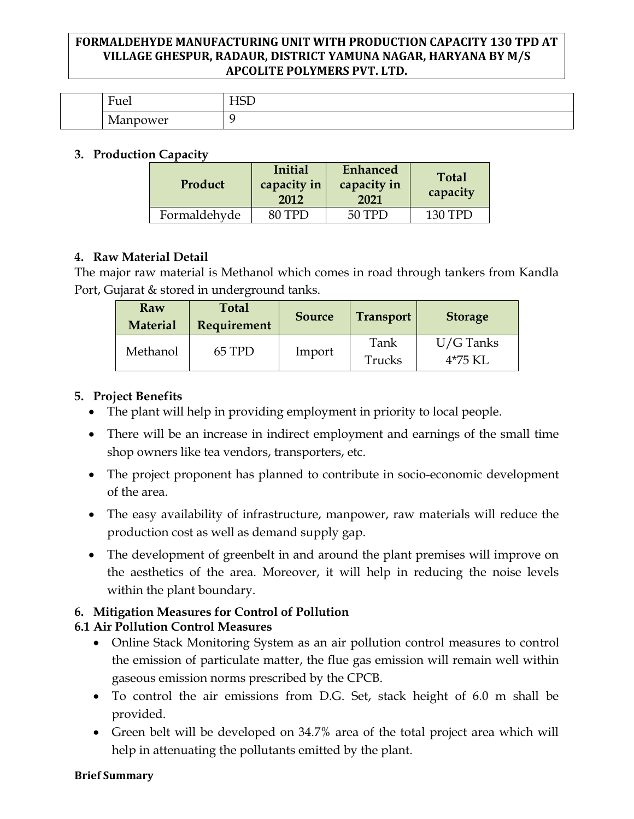| $\blacksquare$<br>Fuel      | --<br>- |
|-----------------------------|---------|
| <i>Nanpowel</i><br><b>.</b> |         |

### **3. Production Capacity**

| Product      | Initial<br>capacity in<br>2012 | Enhanced<br>capacity in<br>2021 | <b>Total</b><br>capacity |
|--------------|--------------------------------|---------------------------------|--------------------------|
| Formaldehyde | 80 TPD                         | 50 TPD                          | 130 TPD                  |

## **4. Raw Material Detail**

The major raw material is Methanol which comes in road through tankers from Kandla Port, Gujarat & stored in underground tanks.

| Raw<br><b>Material</b> | <b>Total</b><br><b>Requirement</b> | <b>Source</b> | <b>Transport</b> | <b>Storage</b>         |
|------------------------|------------------------------------|---------------|------------------|------------------------|
| Methanol               | 65 TPD                             | Import        | Tank<br>Trucks   | $U/G$ Tanks<br>4*75 KL |

# **5. Project Benefits**

- The plant will help in providing employment in priority to local people.
- There will be an increase in indirect employment and earnings of the small time shop owners like tea vendors, transporters, etc.
- The project proponent has planned to contribute in socio-economic development of the area.
- The easy availability of infrastructure, manpower, raw materials will reduce the production cost as well as demand supply gap.
- The development of greenbelt in and around the plant premises will improve on the aesthetics of the area. Moreover, it will help in reducing the noise levels within the plant boundary.

# **6. Mitigation Measures for Control of Pollution**

# **6.1 Air Pollution Control Measures**

- Online Stack Monitoring System as an air pollution control measures to control the emission of particulate matter, the flue gas emission will remain well within gaseous emission norms prescribed by the CPCB.
- To control the air emissions from D.G. Set, stack height of 6.0 m shall be provided.
- Green belt will be developed on 34.7% area of the total project area which will help in attenuating the pollutants emitted by the plant.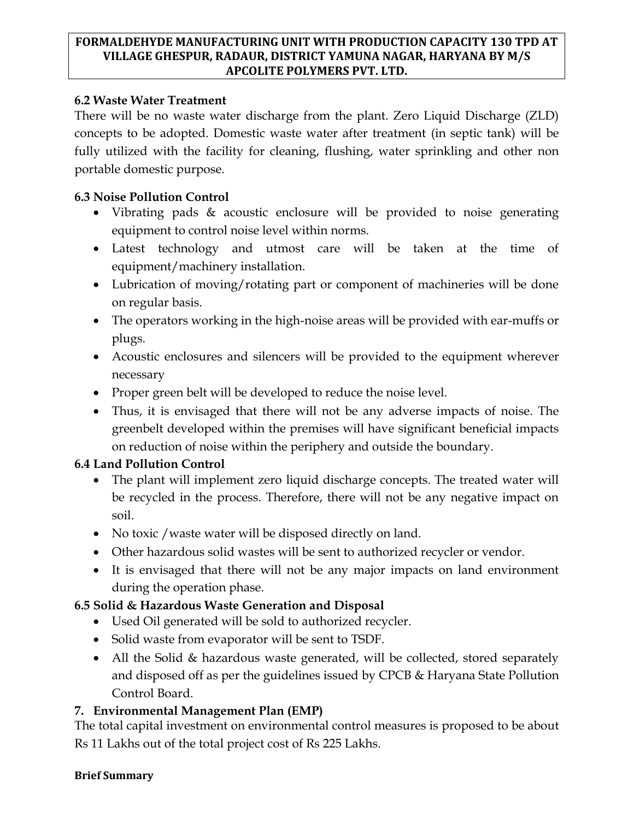## **6.2 Waste Water Treatment**

There will be no waste water discharge from the plant. Zero Liquid Discharge (ZLD) concepts to be adopted. Domestic waste water after treatment (in septic tank) will be fully utilized with the facility for cleaning, flushing, water sprinkling and other non portable domestic purpose.

# **6.3 Noise Pollution Control**

- Vibrating pads & acoustic enclosure will be provided to noise generating equipment to control noise level within norms.
- Latest technology and utmost care will be taken at the time of equipment/machinery installation.
- Lubrication of moving/rotating part or component of machineries will be done on regular basis.
- The operators working in the high-noise areas will be provided with ear-muffs or plugs.
- Acoustic enclosures and silencers will be provided to the equipment wherever necessary
- Proper green belt will be developed to reduce the noise level.
- Thus, it is envisaged that there will not be any adverse impacts of noise. The greenbelt developed within the premises will have significant beneficial impacts on reduction of noise within the periphery and outside the boundary.

# **6.4 Land Pollution Control**

- The plant will implement zero liquid discharge concepts. The treated water will be recycled in the process. Therefore, there will not be any negative impact on soil.
- No toxic / waste water will be disposed directly on land.
- Other hazardous solid wastes will be sent to authorized recycler or vendor.
- It is envisaged that there will not be any major impacts on land environment during the operation phase.

# **6.5 Solid & Hazardous Waste Generation and Disposal**

- Used Oil generated will be sold to authorized recycler.
- Solid waste from evaporator will be sent to TSDF.
- All the Solid & hazardous waste generated, will be collected, stored separately and disposed off as per the guidelines issued by CPCB & Haryana State Pollution Control Board.

# **7. Environmental Management Plan (EMP)**

The total capital investment on environmental control measures is proposed to be about Rs 11 Lakhs out of the total project cost of Rs 225 Lakhs.

#### **Brief Summary**